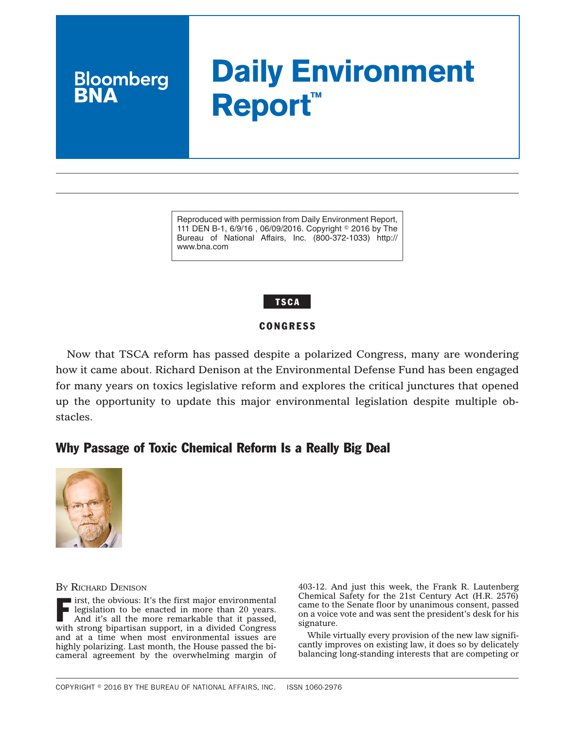# **Daily Environment Report™**

Reproduced with permission from Daily Environment Report, 111 DEN B-1, 6/9/16, 06/09/2016. Copyright © 2016 by The Bureau of National Affairs, Inc. (800-372-1033) http:// www.bna.com

# **TSCA**

## **CONGRESS**

Now that TSCA reform has passed despite a polarized Congress, many are wondering how it came about. Richard Denison at the Environmental Defense Fund has been engaged for many years on toxics legislative reform and explores the critical junctures that opened up the opportunity to update this major environmental legislation despite multiple obstacles.

# Why Passage of Toxic Chemical Reform Is a Really Big Deal



**Bloomberg** 

BY RICHARD DENISON

 $\blacksquare$  irst, the obvious: It's the first major environmental legislation to be enacted in more than 20 years. And it's all the more remarkable that it passed, with strong bipartisan support, in a divided Congress and at a time when most environmental issues are highly polarizing. Last month, the House passed the bicameral agreement by the overwhelming margin of 403-12. And just this week, the Frank R. Lautenberg Chemical Safety for the 21st Century Act (H.R. 2576) came to the Senate floor by unanimous consent, passed on a voice vote and was sent the president's desk for his signature.

While virtually every provision of the new law significantly improves on existing law, it does so by delicately balancing long-standing interests that are competing or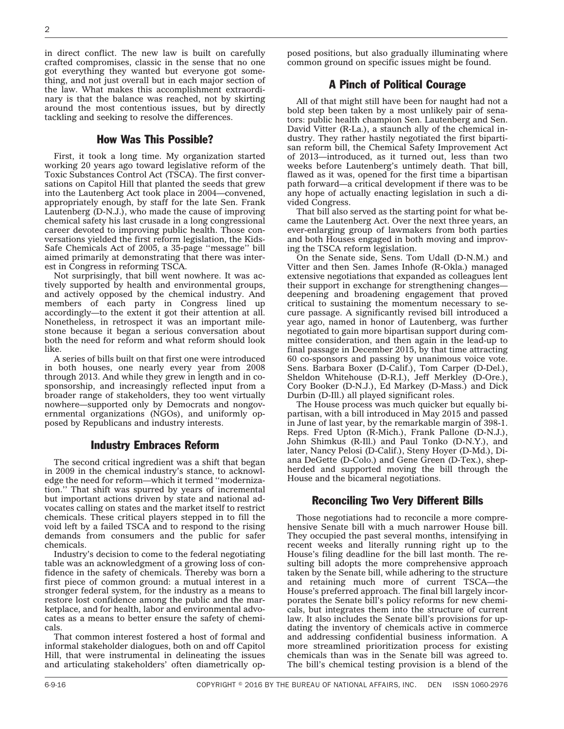in direct conflict. The new law is built on carefully crafted compromises, classic in the sense that no one got everything they wanted but everyone got something, and not just overall but in each major section of the law. What makes this accomplishment extraordinary is that the balance was reached, not by skirting around the most contentious issues, but by directly tackling and seeking to resolve the differences.

#### How Was This Possible?

First, it took a long time. My organization started working 20 years ago toward legislative reform of the Toxic Substances Control Act (TSCA). The first conversations on Capitol Hill that planted the seeds that grew into the Lautenberg Act took place in 2004—convened, appropriately enough, by staff for the late Sen. Frank Lautenberg (D-N.J.), who made the cause of improving chemical safety his last crusade in a long congressional career devoted to improving public health. Those conversations yielded the first reform legislation, the Kids-Safe Chemicals Act of 2005, a 35-page ''message'' bill aimed primarily at demonstrating that there was interest in Congress in reforming TSCA.

Not surprisingly, that bill went nowhere. It was actively supported by health and environmental groups, and actively opposed by the chemical industry. And members of each party in Congress lined up accordingly—to the extent it got their attention at all. Nonetheless, in retrospect it was an important milestone because it began a serious conversation about both the need for reform and what reform should look like.

A series of bills built on that first one were introduced in both houses, one nearly every year from 2008 through 2013. And while they grew in length and in cosponsorship, and increasingly reflected input from a broader range of stakeholders, they too went virtually nowhere—supported only by Democrats and nongovernmental organizations (NGOs), and uniformly opposed by Republicans and industry interests.

#### Industry Embraces Reform

The second critical ingredient was a shift that began in 2009 in the chemical industry's stance, to acknowledge the need for reform—which it termed ''modernization.'' That shift was spurred by years of incremental but important actions driven by state and national advocates calling on states and the market itself to restrict chemicals. These critical players stepped in to fill the void left by a failed TSCA and to respond to the rising demands from consumers and the public for safer chemicals.

Industry's decision to come to the federal negotiating table was an acknowledgment of a growing loss of confidence in the safety of chemicals. Thereby was born a first piece of common ground: a mutual interest in a stronger federal system, for the industry as a means to restore lost confidence among the public and the marketplace, and for health, labor and environmental advocates as a means to better ensure the safety of chemicals.

That common interest fostered a host of formal and informal stakeholder dialogues, both on and off Capitol Hill, that were instrumental in delineating the issues and articulating stakeholders' often diametrically op-

posed positions, but also gradually illuminating where common ground on specific issues might be found.

#### A Pinch of Political Courage

All of that might still have been for naught had not a bold step been taken by a most unlikely pair of senators: public health champion Sen. Lautenberg and Sen. David Vitter (R-La.), a staunch ally of the chemical industry. They rather hastily negotiated the first bipartisan reform bill, the Chemical Safety Improvement Act of 2013—introduced, as it turned out, less than two weeks before Lautenberg's untimely death. That bill, flawed as it was, opened for the first time a bipartisan path forward—a critical development if there was to be any hope of actually enacting legislation in such a divided Congress.

That bill also served as the starting point for what became the Lautenberg Act. Over the next three years, an ever-enlarging group of lawmakers from both parties and both Houses engaged in both moving and improving the TSCA reform legislation.

On the Senate side, Sens. Tom Udall (D-N.M.) and Vitter and then Sen. James Inhofe (R-Okla.) managed extensive negotiations that expanded as colleagues lent their support in exchange for strengthening changes deepening and broadening engagement that proved critical to sustaining the momentum necessary to secure passage. A significantly revised bill introduced a year ago, named in honor of Lautenberg, was further negotiated to gain more bipartisan support during committee consideration, and then again in the lead-up to final passage in December 2015, by that time attracting 60 co-sponsors and passing by unanimous voice vote. Sens. Barbara Boxer (D-Calif.), Tom Carper (D-Del.), Sheldon Whitehouse (D-R.I.), Jeff Merkley (D-Ore.), Cory Booker (D-N.J.), Ed Markey (D-Mass.) and Dick Durbin (D-Ill.) all played significant roles.

The House process was much quicker but equally bipartisan, with a bill introduced in May 2015 and passed in June of last year, by the remarkable margin of 398-1. Reps. Fred Upton (R-Mich.), Frank Pallone (D-N.J.), John Shimkus (R-Ill.) and Paul Tonko (D-N.Y.), and later, Nancy Pelosi (D-Calif.), Steny Hoyer (D-Md.), Diana DeGette (D-Colo.) and Gene Green (D-Tex.), shepherded and supported moving the bill through the House and the bicameral negotiations.

#### Reconciling Two Very Different Bills

Those negotiations had to reconcile a more comprehensive Senate bill with a much narrower House bill. They occupied the past several months, intensifying in recent weeks and literally running right up to the House's filing deadline for the bill last month. The resulting bill adopts the more comprehensive approach taken by the Senate bill, while adhering to the structure and retaining much more of current TSCA—the House's preferred approach. The final bill largely incorporates the Senate bill's policy reforms for new chemicals, but integrates them into the structure of current law. It also includes the Senate bill's provisions for updating the inventory of chemicals active in commerce and addressing confidential business information. A more streamlined prioritization process for existing chemicals than was in the Senate bill was agreed to. The bill's chemical testing provision is a blend of the